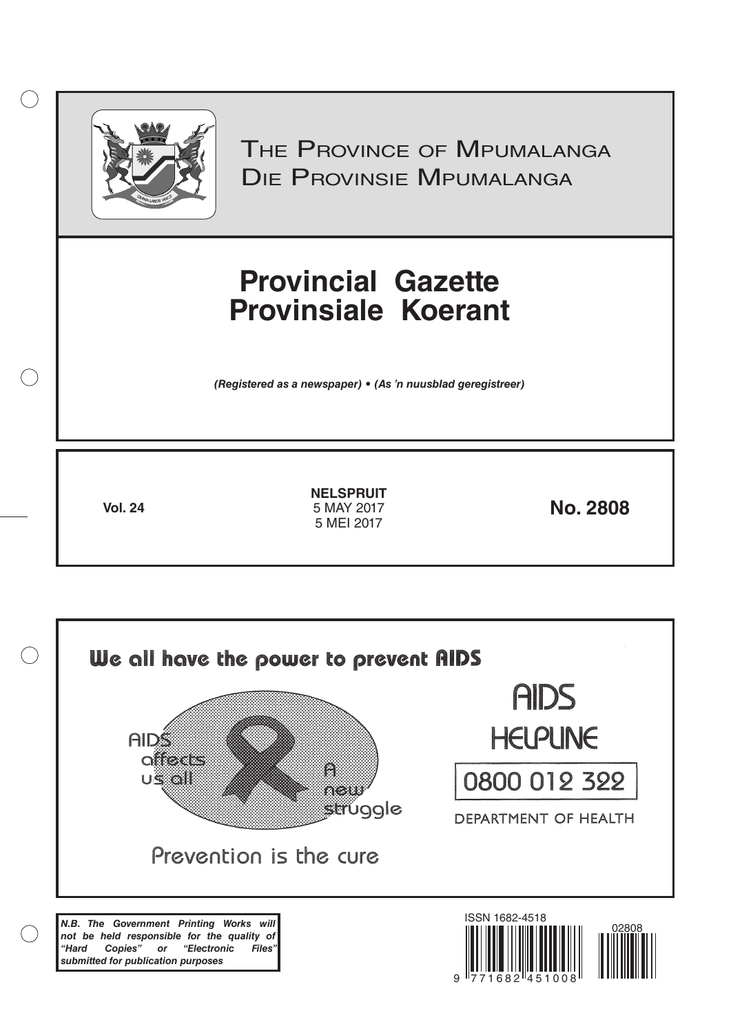

 $\bigcirc$ 

THE PROVINCE OF MPUMALANGA Die Provinsie Mpumalanga

# **Provincial Gazette Provinsiale Koerant**

*(Registered as a newspaper) • (As 'n nuusblad geregistreer)*

**Vol. 24 12017 No. 2808 NELSPRUIT** 5 MAY 2017 5 MEI 2017

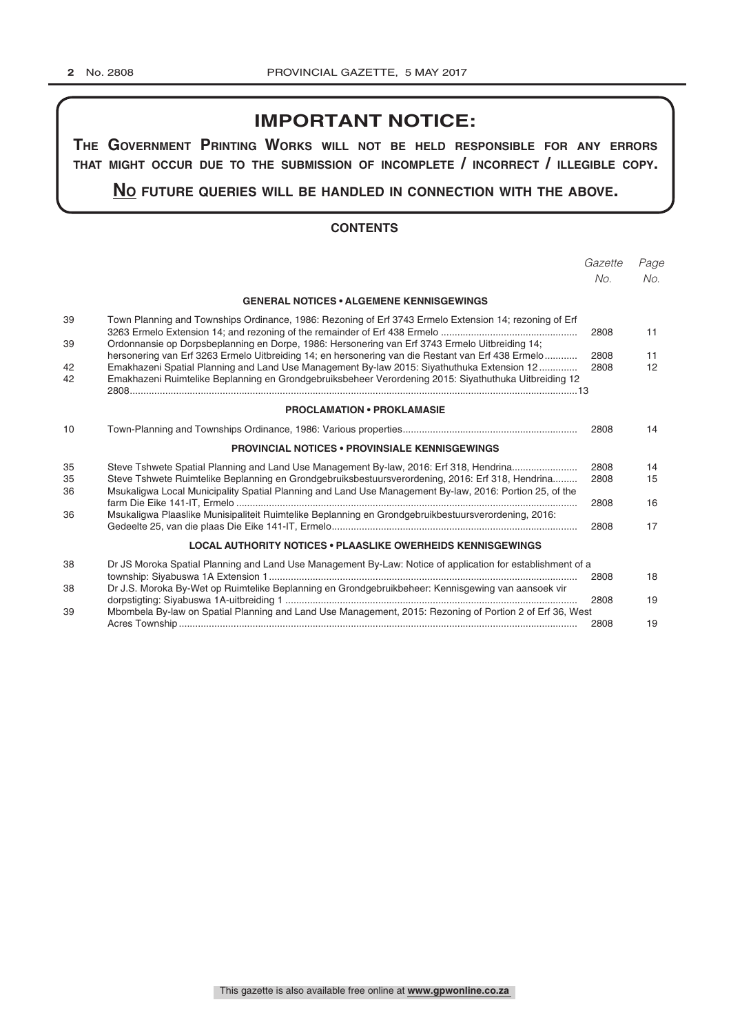# **IMPORTANT NOTICE:**

**The GovernmenT PrinTinG Works Will noT be held resPonsible for any errors ThaT miGhT occur due To The submission of incomPleTe / incorrecT / illeGible coPy.**

**no fuTure queries Will be handled in connecTion WiTh The above.**

## **CONTENTS**

|                |                                                                                                                                                                                                                                                                                                       | Gazette<br>No. | Page<br>No. |
|----------------|-------------------------------------------------------------------------------------------------------------------------------------------------------------------------------------------------------------------------------------------------------------------------------------------------------|----------------|-------------|
|                | <b>GENERAL NOTICES • ALGEMENE KENNISGEWINGS</b>                                                                                                                                                                                                                                                       |                |             |
| 39             | Town Planning and Townships Ordinance, 1986: Rezoning of Erf 3743 Ermelo Extension 14; rezoning of Erf                                                                                                                                                                                                | 2808           | 11          |
| 39             | Ordonnansie op Dorpsbeplanning en Dorpe, 1986: Hersonering van Erf 3743 Ermelo Uitbreiding 14;<br>hersonering van Erf 3263 Ermelo Uitbreiding 14; en hersonering van die Restant van Erf 438 Ermelo                                                                                                   | 2808           | 11          |
| 42             | Emakhazeni Spatial Planning and Land Use Management By-law 2015: Siyathuthuka Extension 12                                                                                                                                                                                                            | 2808           | 12          |
| 42             | Emakhazeni Ruimtelike Beplanning en Grondgebruiksbeheer Verordening 2015: Siyathuthuka Uitbreiding 12                                                                                                                                                                                                 |                |             |
|                | <b>PROCLAMATION • PROKLAMASIE</b>                                                                                                                                                                                                                                                                     |                |             |
| 10             |                                                                                                                                                                                                                                                                                                       | 2808           | 14          |
|                | <b>PROVINCIAL NOTICES • PROVINSIALE KENNISGEWINGS</b>                                                                                                                                                                                                                                                 |                |             |
| 35<br>35<br>36 | Steve Tshwete Spatial Planning and Land Use Management By-law, 2016: Erf 318, Hendrina<br>Steve Tshwete Ruimtelike Beplanning en Grondgebruiksbestuursverordening, 2016: Erf 318, Hendrina<br>Msukaligwa Local Municipality Spatial Planning and Land Use Management By-law, 2016: Portion 25, of the | 2808<br>2808   | 14<br>15    |
| 36             | Msukaligwa Plaaslike Munisipaliteit Ruimtelike Beplanning en Grondgebruikbestuursverordening, 2016:                                                                                                                                                                                                   | 2808           | 16          |
|                |                                                                                                                                                                                                                                                                                                       | 2808           | 17          |
|                | <b>LOCAL AUTHORITY NOTICES • PLAASLIKE OWERHEIDS KENNISGEWINGS</b>                                                                                                                                                                                                                                    |                |             |
| 38             | Dr JS Moroka Spatial Planning and Land Use Management By-Law: Notice of application for establishment of a                                                                                                                                                                                            | 2808           | 18          |
| 38             | Dr J.S. Moroka By-Wet op Ruimtelike Beplanning en Grondgebruikbeheer: Kennisgewing van aansoek vir                                                                                                                                                                                                    | 2808           | 19          |
| 39             | Mbombela By-law on Spatial Planning and Land Use Management, 2015: Rezoning of Portion 2 of Erf 36, West                                                                                                                                                                                              | 2808           | 19          |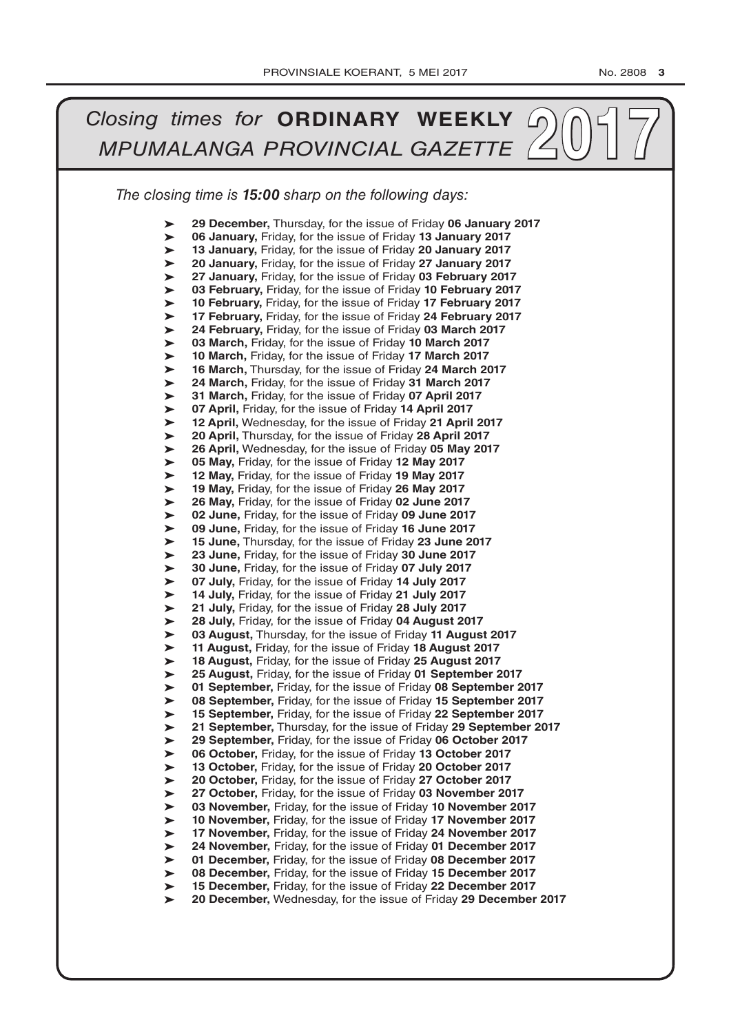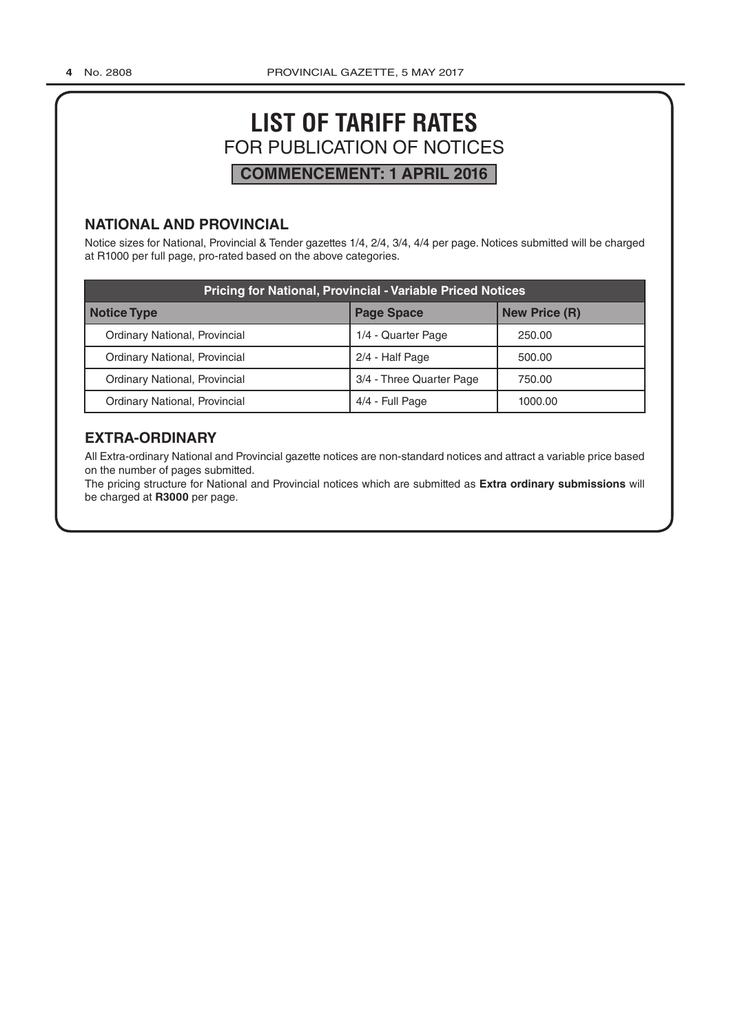# **LIST OF TARIFF RATES** FOR PUBLICATION OF NOTICES **COMMENCEMENT: 1 APRIL 2016**

# **NATIONAL AND PROVINCIAL**

Notice sizes for National, Provincial & Tender gazettes 1/4, 2/4, 3/4, 4/4 per page. Notices submitted will be charged at R1000 per full page, pro-rated based on the above categories.

| <b>Pricing for National, Provincial - Variable Priced Notices</b> |                          |                      |  |
|-------------------------------------------------------------------|--------------------------|----------------------|--|
| Notice Type                                                       | <b>Page Space</b>        | <b>New Price (R)</b> |  |
| Ordinary National, Provincial                                     | 1/4 - Quarter Page       | 250.00               |  |
| Ordinary National, Provincial                                     | 2/4 - Half Page          | 500.00               |  |
| Ordinary National, Provincial                                     | 3/4 - Three Quarter Page | 750.00               |  |
| Ordinary National, Provincial                                     | 4/4 - Full Page          | 1000.00              |  |

# **EXTRA-ORDINARY**

All Extra-ordinary National and Provincial gazette notices are non-standard notices and attract a variable price based on the number of pages submitted.

The pricing structure for National and Provincial notices which are submitted as **Extra ordinary submissions** will be charged at **R3000** per page.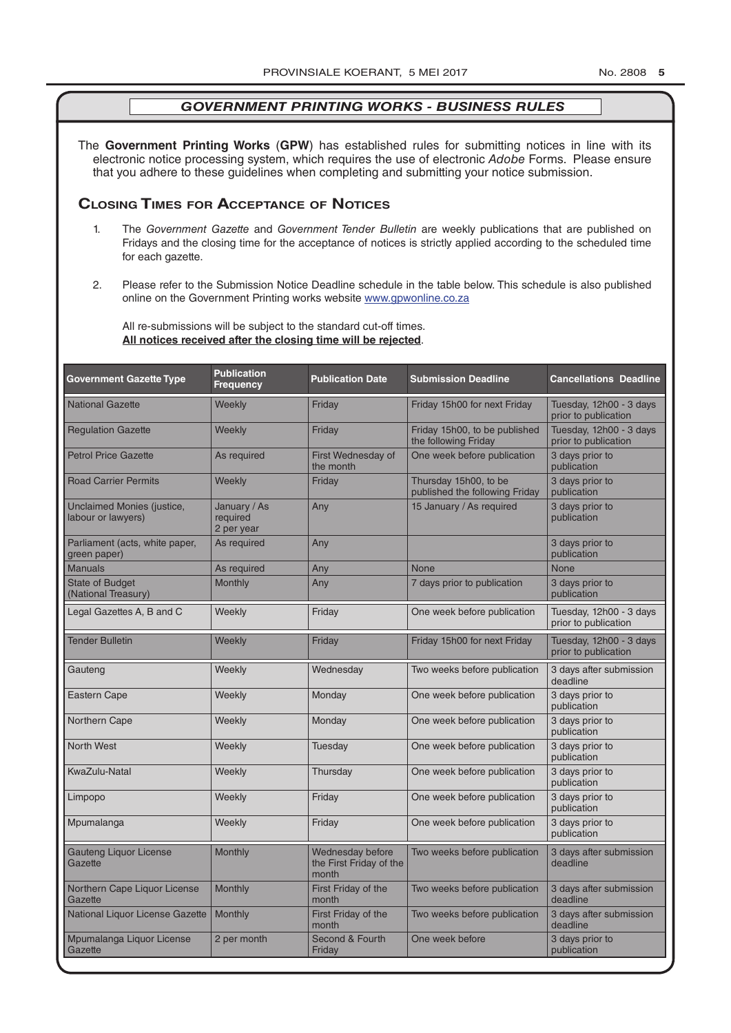The **Government Printing Works** (**GPW**) has established rules for submitting notices in line with its electronic notice processing system, which requires the use of electronic *Adobe* Forms. Please ensure that you adhere to these guidelines when completing and submitting your notice submission.

# **Closing Times for ACCepTAnCe of noTiCes**

- 1. The *Government Gazette* and *Government Tender Bulletin* are weekly publications that are published on Fridays and the closing time for the acceptance of notices is strictly applied according to the scheduled time for each gazette.
- 2. Please refer to the Submission Notice Deadline schedule in the table below. This schedule is also published online on the Government Printing works website www.gpwonline.co.za

All re-submissions will be subject to the standard cut-off times. **All notices received after the closing time will be rejected**.

| <b>Government Gazette Type</b>                   | <b>Publication</b><br><b>Frequency</b> | <b>Publication Date</b>                              | <b>Submission Deadline</b>                              | <b>Cancellations Deadline</b>                   |
|--------------------------------------------------|----------------------------------------|------------------------------------------------------|---------------------------------------------------------|-------------------------------------------------|
| <b>National Gazette</b>                          | Weekly                                 | Friday                                               | Friday 15h00 for next Friday                            | Tuesday, 12h00 - 3 days<br>prior to publication |
| <b>Regulation Gazette</b>                        | Weekly                                 | Friday                                               | Friday 15h00, to be published<br>the following Friday   | Tuesday, 12h00 - 3 days<br>prior to publication |
| <b>Petrol Price Gazette</b>                      | As required                            | First Wednesday of<br>the month                      | One week before publication                             | 3 days prior to<br>publication                  |
| <b>Road Carrier Permits</b>                      | Weekly                                 | Friday                                               | Thursday 15h00, to be<br>published the following Friday | 3 days prior to<br>publication                  |
| Unclaimed Monies (justice,<br>labour or lawyers) | January / As<br>required<br>2 per year | Any                                                  | 15 January / As required                                | 3 days prior to<br>publication                  |
| Parliament (acts, white paper,<br>green paper)   | As required                            | Any                                                  |                                                         | 3 days prior to<br>publication                  |
| <b>Manuals</b>                                   | As required                            | Any                                                  | <b>None</b>                                             | <b>None</b>                                     |
| <b>State of Budget</b><br>(National Treasury)    | <b>Monthly</b>                         | Any                                                  | 7 days prior to publication                             | 3 days prior to<br>publication                  |
| Legal Gazettes A, B and C                        | Weekly                                 | Friday                                               | One week before publication                             | Tuesday, 12h00 - 3 days<br>prior to publication |
| <b>Tender Bulletin</b>                           | Weekly                                 | Friday                                               | Friday 15h00 for next Friday                            | Tuesday, 12h00 - 3 days<br>prior to publication |
| Gauteng                                          | Weekly                                 | Wednesday                                            | Two weeks before publication                            | 3 days after submission<br>deadline             |
| Eastern Cape                                     | Weekly                                 | Monday                                               | One week before publication                             | 3 days prior to<br>publication                  |
| Northern Cape                                    | Weekly                                 | Monday                                               | One week before publication                             | 3 days prior to<br>publication                  |
| <b>North West</b>                                | Weekly                                 | Tuesday                                              | One week before publication                             | 3 days prior to<br>publication                  |
| KwaZulu-Natal                                    | Weekly                                 | Thursday                                             | One week before publication                             | 3 days prior to<br>publication                  |
| Limpopo                                          | Weekly                                 | Friday                                               | One week before publication                             | 3 days prior to<br>publication                  |
| Mpumalanga                                       | Weekly                                 | Friday                                               | One week before publication                             | 3 days prior to<br>publication                  |
| <b>Gauteng Liquor License</b><br>Gazette         | Monthly                                | Wednesday before<br>the First Friday of the<br>month | Two weeks before publication                            | 3 days after submission<br>deadline             |
| Northern Cape Liquor License<br>Gazette          | Monthly                                | First Friday of the<br>month                         | Two weeks before publication                            | 3 days after submission<br>deadline             |
| National Liquor License Gazette                  | Monthly                                | First Friday of the<br>month                         | Two weeks before publication                            | 3 days after submission<br>deadline             |
| Mpumalanga Liquor License<br>Gazette             | 2 per month                            | Second & Fourth<br>Friday                            | One week before                                         | 3 days prior to<br>publication                  |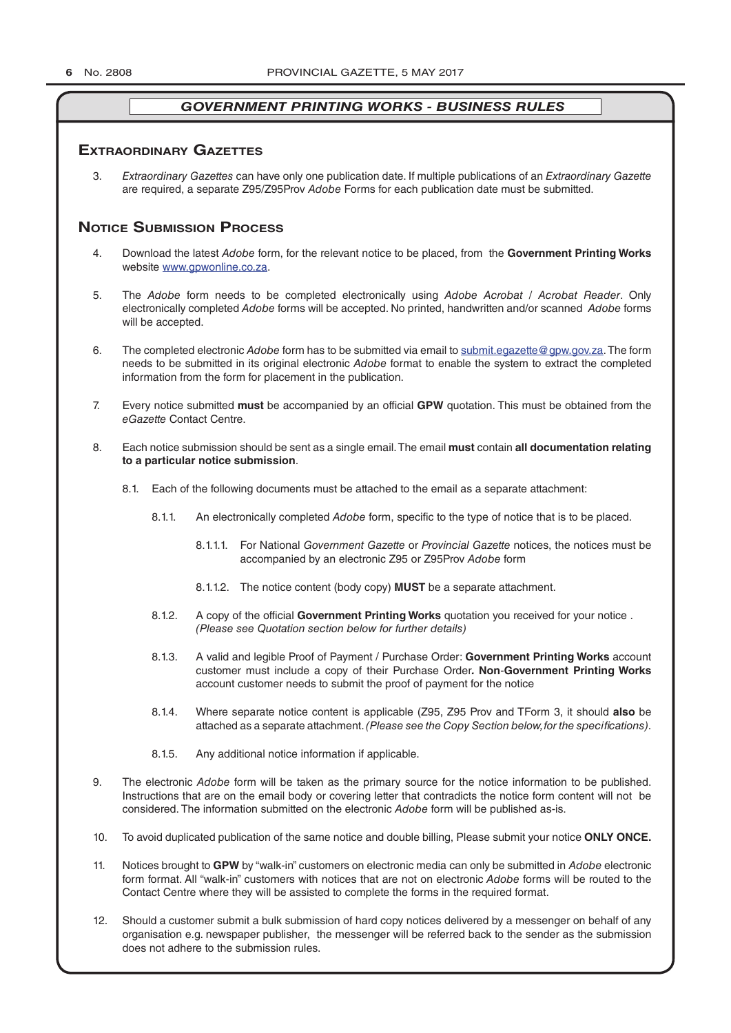### **exTrAordinAry gAzeTTes**

3. *Extraordinary Gazettes* can have only one publication date. If multiple publications of an *Extraordinary Gazette* are required, a separate Z95/Z95Prov *Adobe* Forms for each publication date must be submitted.

# **NOTICE SUBMISSION PROCESS**

- 4. Download the latest *Adobe* form, for the relevant notice to be placed, from the **Government Printing Works** website www.gpwonline.co.za.
- 5. The *Adobe* form needs to be completed electronically using *Adobe Acrobat* / *Acrobat Reader*. Only electronically completed *Adobe* forms will be accepted. No printed, handwritten and/or scanned *Adobe* forms will be accepted.
- 6. The completed electronic *Adobe* form has to be submitted via email to submit.egazette@gpw.gov.za. The form needs to be submitted in its original electronic *Adobe* format to enable the system to extract the completed information from the form for placement in the publication.
- 7. Every notice submitted **must** be accompanied by an official **GPW** quotation. This must be obtained from the *eGazette* Contact Centre.
- 8. Each notice submission should be sent as a single email. The email **must** contain **all documentation relating to a particular notice submission**.
	- 8.1. Each of the following documents must be attached to the email as a separate attachment:
		- 8.1.1. An electronically completed *Adobe* form, specific to the type of notice that is to be placed.
			- 8.1.1.1. For National *Government Gazette* or *Provincial Gazette* notices, the notices must be accompanied by an electronic Z95 or Z95Prov *Adobe* form
			- 8.1.1.2. The notice content (body copy) **MUST** be a separate attachment.
		- 8.1.2. A copy of the official **Government Printing Works** quotation you received for your notice . *(Please see Quotation section below for further details)*
		- 8.1.3. A valid and legible Proof of Payment / Purchase Order: **Government Printing Works** account customer must include a copy of their Purchase Order*.* **Non**-**Government Printing Works** account customer needs to submit the proof of payment for the notice
		- 8.1.4. Where separate notice content is applicable (Z95, Z95 Prov and TForm 3, it should **also** be attached as a separate attachment. *(Please see the Copy Section below, for the specifications)*.
		- 8.1.5. Any additional notice information if applicable.
- 9. The electronic *Adobe* form will be taken as the primary source for the notice information to be published. Instructions that are on the email body or covering letter that contradicts the notice form content will not be considered. The information submitted on the electronic *Adobe* form will be published as-is.
- 10. To avoid duplicated publication of the same notice and double billing, Please submit your notice **ONLY ONCE.**
- 11. Notices brought to **GPW** by "walk-in" customers on electronic media can only be submitted in *Adobe* electronic form format. All "walk-in" customers with notices that are not on electronic *Adobe* forms will be routed to the Contact Centre where they will be assisted to complete the forms in the required format.
- 12. Should a customer submit a bulk submission of hard copy notices delivered by a messenger on behalf of any organisation e.g. newspaper publisher, the messenger will be referred back to the sender as the submission does not adhere to the submission rules.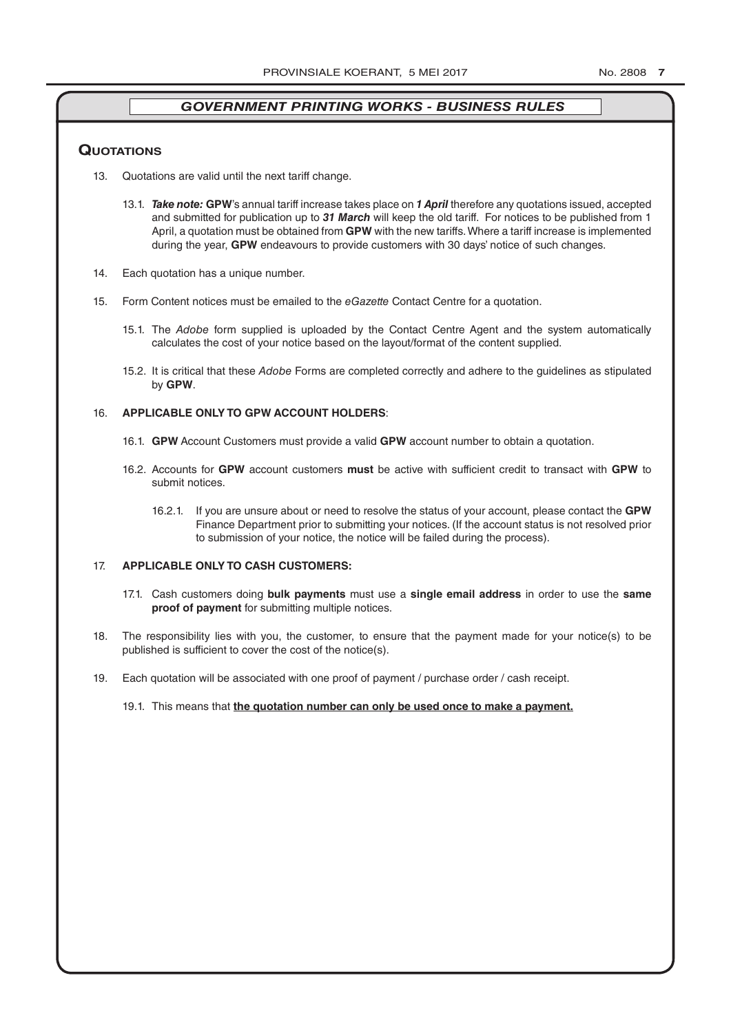#### **QuoTATions**

- 13. Quotations are valid until the next tariff change.
	- 13.1. *Take note:* **GPW**'s annual tariff increase takes place on *1 April* therefore any quotations issued, accepted and submitted for publication up to *31 March* will keep the old tariff. For notices to be published from 1 April, a quotation must be obtained from **GPW** with the new tariffs. Where a tariff increase is implemented during the year, **GPW** endeavours to provide customers with 30 days' notice of such changes.
- 14. Each quotation has a unique number.
- 15. Form Content notices must be emailed to the *eGazette* Contact Centre for a quotation.
	- 15.1. The *Adobe* form supplied is uploaded by the Contact Centre Agent and the system automatically calculates the cost of your notice based on the layout/format of the content supplied.
	- 15.2. It is critical that these *Adobe* Forms are completed correctly and adhere to the guidelines as stipulated by **GPW**.

#### 16. **APPLICABLE ONLY TO GPW ACCOUNT HOLDERS**:

- 16.1. **GPW** Account Customers must provide a valid **GPW** account number to obtain a quotation.
- 16.2. Accounts for **GPW** account customers **must** be active with sufficient credit to transact with **GPW** to submit notices.
	- 16.2.1. If you are unsure about or need to resolve the status of your account, please contact the **GPW** Finance Department prior to submitting your notices. (If the account status is not resolved prior to submission of your notice, the notice will be failed during the process).

#### 17. **APPLICABLE ONLY TO CASH CUSTOMERS:**

- 17.1. Cash customers doing **bulk payments** must use a **single email address** in order to use the **same proof of payment** for submitting multiple notices.
- 18. The responsibility lies with you, the customer, to ensure that the payment made for your notice(s) to be published is sufficient to cover the cost of the notice(s).
- 19. Each quotation will be associated with one proof of payment / purchase order / cash receipt.
	- 19.1. This means that **the quotation number can only be used once to make a payment.**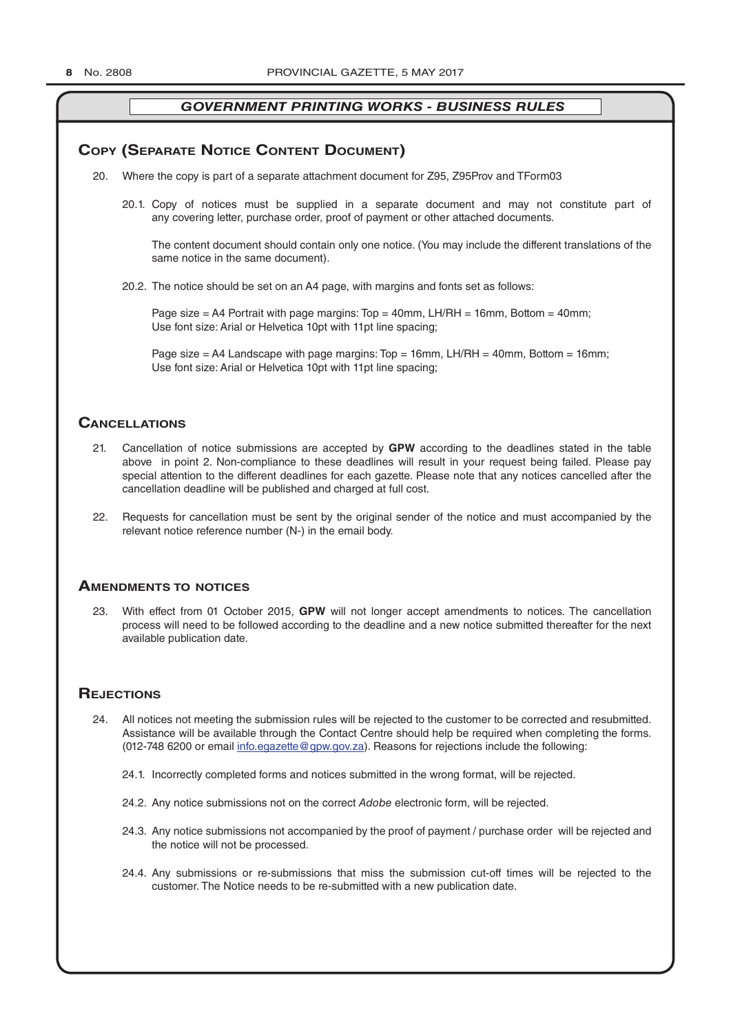# **COPY (SEPARATE NOTICE CONTENT DOCUMENT)**

- 20. Where the copy is part of a separate attachment document for Z95, Z95Prov and TForm03
	- 20.1. Copy of notices must be supplied in a separate document and may not constitute part of any covering letter, purchase order, proof of payment or other attached documents.

The content document should contain only one notice. (You may include the different translations of the same notice in the same document).

20.2. The notice should be set on an A4 page, with margins and fonts set as follows:

Page size  $=$  A4 Portrait with page margins: Top  $=$  40mm, LH/RH  $=$  16mm, Bottom  $=$  40mm; Use font size: Arial or Helvetica 10pt with 11pt line spacing;

Page size = A4 Landscape with page margins: Top = 16mm, LH/RH = 40mm, Bottom = 16mm; Use font size: Arial or Helvetica 10pt with 11pt line spacing;

# **CAnCellATions**

- 21. Cancellation of notice submissions are accepted by **GPW** according to the deadlines stated in the table above in point 2. Non-compliance to these deadlines will result in your request being failed. Please pay special attention to the different deadlines for each gazette. Please note that any notices cancelled after the cancellation deadline will be published and charged at full cost.
- 22. Requests for cancellation must be sent by the original sender of the notice and must accompanied by the relevant notice reference number (N-) in the email body.

# **AmendmenTs To noTiCes**

23. With effect from 01 October 2015, **GPW** will not longer accept amendments to notices. The cancellation process will need to be followed according to the deadline and a new notice submitted thereafter for the next available publication date.

# **REJECTIONS**

- 24. All notices not meeting the submission rules will be rejected to the customer to be corrected and resubmitted. Assistance will be available through the Contact Centre should help be required when completing the forms. (012-748 6200 or email info.egazette@gpw.gov.za). Reasons for rejections include the following:
	- 24.1. Incorrectly completed forms and notices submitted in the wrong format, will be rejected.
	- 24.2. Any notice submissions not on the correct *Adobe* electronic form, will be rejected.
	- 24.3. Any notice submissions not accompanied by the proof of payment / purchase order will be rejected and the notice will not be processed.
	- 24.4. Any submissions or re-submissions that miss the submission cut-off times will be rejected to the customer. The Notice needs to be re-submitted with a new publication date.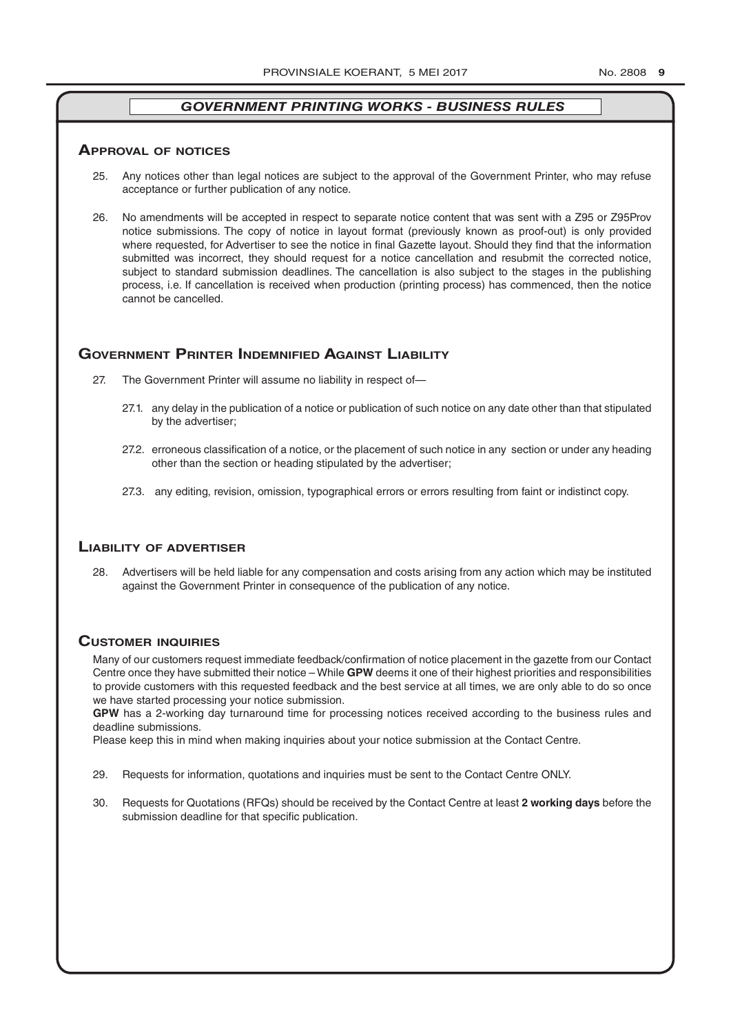#### **ApprovAl of noTiCes**

- 25. Any notices other than legal notices are subject to the approval of the Government Printer, who may refuse acceptance or further publication of any notice.
- 26. No amendments will be accepted in respect to separate notice content that was sent with a Z95 or Z95Prov notice submissions. The copy of notice in layout format (previously known as proof-out) is only provided where requested, for Advertiser to see the notice in final Gazette layout. Should they find that the information submitted was incorrect, they should request for a notice cancellation and resubmit the corrected notice, subject to standard submission deadlines. The cancellation is also subject to the stages in the publishing process, i.e. If cancellation is received when production (printing process) has commenced, then the notice cannot be cancelled.

# **governmenT prinTer indemnified AgAinsT liAbiliTy**

- 27. The Government Printer will assume no liability in respect of—
	- 27.1. any delay in the publication of a notice or publication of such notice on any date other than that stipulated by the advertiser;
	- 27.2. erroneous classification of a notice, or the placement of such notice in any section or under any heading other than the section or heading stipulated by the advertiser;
	- 27.3. any editing, revision, omission, typographical errors or errors resulting from faint or indistinct copy.

#### **liAbiliTy of AdverTiser**

28. Advertisers will be held liable for any compensation and costs arising from any action which may be instituted against the Government Printer in consequence of the publication of any notice.

# **CusTomer inQuiries**

Many of our customers request immediate feedback/confirmation of notice placement in the gazette from our Contact Centre once they have submitted their notice – While **GPW** deems it one of their highest priorities and responsibilities to provide customers with this requested feedback and the best service at all times, we are only able to do so once we have started processing your notice submission.

**GPW** has a 2-working day turnaround time for processing notices received according to the business rules and deadline submissions.

Please keep this in mind when making inquiries about your notice submission at the Contact Centre.

- 29. Requests for information, quotations and inquiries must be sent to the Contact Centre ONLY.
- 30. Requests for Quotations (RFQs) should be received by the Contact Centre at least **2 working days** before the submission deadline for that specific publication.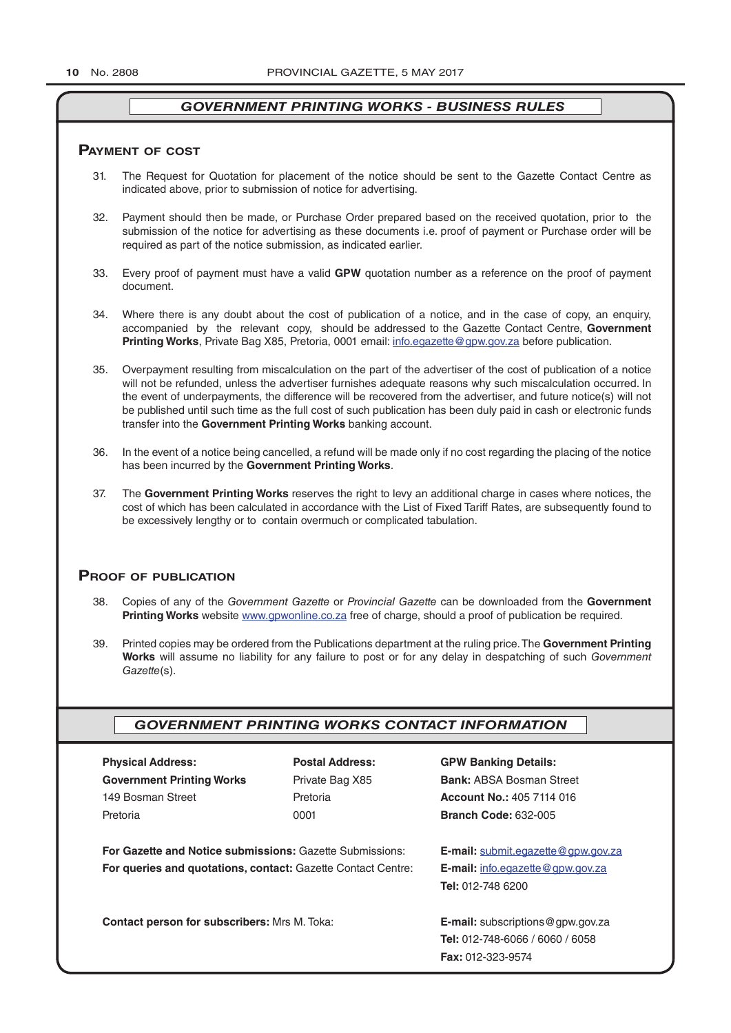#### **pAymenT of CosT**

- 31. The Request for Quotation for placement of the notice should be sent to the Gazette Contact Centre as indicated above, prior to submission of notice for advertising.
- 32. Payment should then be made, or Purchase Order prepared based on the received quotation, prior to the submission of the notice for advertising as these documents i.e. proof of payment or Purchase order will be required as part of the notice submission, as indicated earlier.
- 33. Every proof of payment must have a valid **GPW** quotation number as a reference on the proof of payment document.
- 34. Where there is any doubt about the cost of publication of a notice, and in the case of copy, an enquiry, accompanied by the relevant copy, should be addressed to the Gazette Contact Centre, **Government Printing Works**, Private Bag X85, Pretoria, 0001 email: info.egazette@gpw.gov.za before publication.
- 35. Overpayment resulting from miscalculation on the part of the advertiser of the cost of publication of a notice will not be refunded, unless the advertiser furnishes adequate reasons why such miscalculation occurred. In the event of underpayments, the difference will be recovered from the advertiser, and future notice(s) will not be published until such time as the full cost of such publication has been duly paid in cash or electronic funds transfer into the **Government Printing Works** banking account.
- 36. In the event of a notice being cancelled, a refund will be made only if no cost regarding the placing of the notice has been incurred by the **Government Printing Works**.
- 37. The **Government Printing Works** reserves the right to levy an additional charge in cases where notices, the cost of which has been calculated in accordance with the List of Fixed Tariff Rates, are subsequently found to be excessively lengthy or to contain overmuch or complicated tabulation.

# **proof of publiCATion**

- 38. Copies of any of the *Government Gazette* or *Provincial Gazette* can be downloaded from the **Government Printing Works** website www.gpwonline.co.za free of charge, should a proof of publication be required.
- 39. Printed copies may be ordered from the Publications department at the ruling price. The **Government Printing Works** will assume no liability for any failure to post or for any delay in despatching of such *Government Gazette*(s).

### *GOVERNMENT PRINTING WORKS CONTACT INFORMATION*

| <b>Physical Address:</b>                                 | <b>Postal Address:</b>                                              | <b>GPW Banking Details:</b>                 |
|----------------------------------------------------------|---------------------------------------------------------------------|---------------------------------------------|
| <b>Government Printing Works</b>                         | Private Bag X85                                                     | <b>Bank: ABSA Bosman Street</b>             |
| 149 Bosman Street                                        | Pretoria                                                            | Account No.: 405 7114 016                   |
| Pretoria                                                 | 0001                                                                | <b>Branch Code: 632-005</b>                 |
| For Gazette and Notice submissions: Gazette Submissions: |                                                                     | <b>E-mail:</b> submit.eqazette@gpw.gov.za   |
|                                                          | <b>For queries and quotations, contact: Gazette Contact Centre:</b> |                                             |
|                                                          |                                                                     | <b>Tel: 012-748 6200</b>                    |
| <b>Contact person for subscribers: Mrs M. Toka:</b>      |                                                                     | <b>E-mail:</b> subscriptions $@$ gpw.gov.za |
|                                                          |                                                                     | <b>Tel: 012-748-6066 / 6060 / 6058</b>      |
|                                                          |                                                                     | Fax: 012-323-9574                           |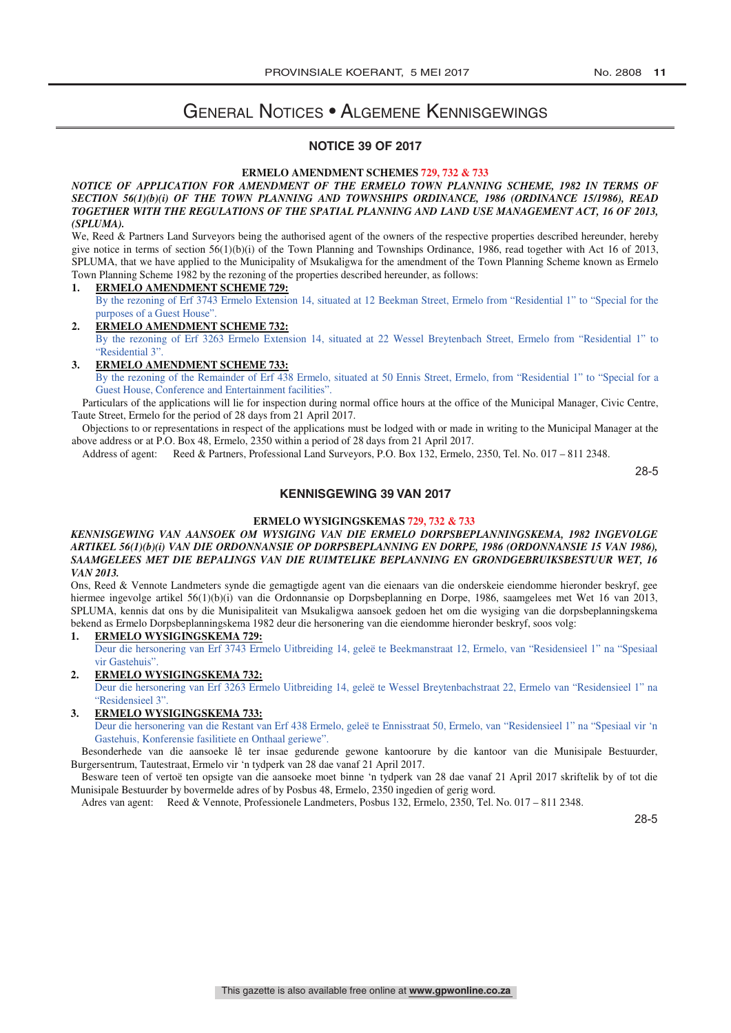# General Notices • Algemene Kennisgewings

### **NOTICE 39 OF 2017**

#### **ERMELO AMENDMENT SCHEMES 729, 732 & 733**

**NOTICE OF APPLICATION FOR AMENDMENT OF THE ERMELO TOWN PLANNING SCHEME, 1982 IN TERMS OF** *SECTION 56(1)(b)(i) OF THE TOWN PLANNING AND TOWNSHIPS ORDINANCE, 1986 (ORDINANCE 15/1986), READ NOTICE OF APPLICATION FOR AMENDMENT OF THE ERMELO TOWN PLANNING SCHEME, 1982 IN TERMS OF TOGETHER WITH THE REGULATIONS OF THE SPATIAL PLANNING AND LAND USE MANAGEMENT ACT, 16 OF 2013, SECTION 56(1)(b)(i) OF THE TOWN PLANNING AND TOWNSHIPS ORDINANCE, 1986 (ORDINANCE 15/1986), READ (SPLUMA). TOGETHER WITH THE REGULATIONS OF THE SPATIAL PLANNING AND LAND USE MANAGEMENT ACT, 16 OF 2013,* 

We, Reed & Partners Land Surveyors being the authorised agent of the owners of the respective properties described hereunder, hereby *Net*, Reed & Partners Land Surveyors being the authorised agent of the owners of the res give notice in terms of section 56(1)(b)(i) of the Town Planning and Townships Ordinance, 1986, read together with Act 16 of 2013, SPLUMA, that we have applied to the Municipality of Msukaligwa for the amendment of the Town Planning Scheme known as Ermelo Town Planning Scheme 1982 by the rezoning of the properties described hereunder, as follows: TOWN PLANNING SCHEME 1982 by the rezoning of the properties described hereunder, as follows:

#### **1. ERMELO AMENDMENT SCHEME 729:**

By the rezoning of Erf 3743 Ermelo Extension 14, situated at 12 Beekman Street, Ermelo from "Residential 1" to "Special for the purposes of a Guest House".  $B_1$  in rezoning of Erf 3743 Ermelo Extension 14, situated at 12 Beekman Street, Ermelo from "Residential 1" to "Special for the

#### 2. ERMELO AMENDMENT SCHEME 732: By the rezoning of Erf 3263 Ermelo Extension 14, situated at 22 Wessel Breytenbach Street, Ermelo from "Residential 1" to "Residential 3". By the rezoning of Erf 3263 Ermelo Extension 14, situated at 22 Wessel Breytenbach Street, Ermelo from "Residential 1" to

**3. ERMELO AMENDMENT SCHEME 733:** By the rezoning of the Remainder of Erf 438 Ermelo, situated at 50 Ennis Street, Ermelo, from "Residential 1" to "Special for a Guest House, Conference and Entertainment facilities". By the rezoning of the Remainder of Erf 438 Ermelo, situated at 50 Ennis Street, Ermelo, from "Residential 1" to "Special for a

Particulars of the applications will lie for inspection during normal office hours at the office of the Municipal Manager, Civic Centre, Taute Street, Ermelo for the period of 28 days from 21 April 2017. Particulars of the applications will no inspection during normal office hours at the office of the Municipal Manager, Civic Centre,

 Objections to or representations in respect of the applications must be lodged with or made in writing to the Municipal Manager at the Taute Street, Ermelo for the period of 28 days from 21 April 2017. above address or at P.O. Box 48, Ermelo, 2350 within a period of 28 days from 21 April 2017.

Address of at P.O. Box 10, Ermelo, 2350 within a period of 28 days from 21 April 2017.<br>Address of agent: Reed & Partners, Professional Land Surveyors, P.O. Box 132, Ermelo, 2350, Tel. No. 017 – 811 2348. Address of agent: Reed & Partners, Professional Land Surveyors, P.O. Box 132, Ermelo, 2350, Tel. No. 017 – 811 2348.

28-5 28-5

#### **KENNISGEWING 39 VAN 2017**

# **ERMELO WYSIGINGSKEMAS 729, 732 & 733 ERMELO WYSIGINGSKEMAS 729, 732 & 733**

#### *KENNISGEWING VAN AANSOEK OM WYSIGING VAN DIE ERMELO DORPSBEPLANNINGSKEMA, 1982 INGEVOLGE KENNISGEWING VAN AANSOEK OM WYSIGING VAN DIE ERMELO DORPSBEPLANNINGSKEMA, 1982 INGEVOLGE ARTIKEL 56(1)(b)(i) VAN DIE ORDONNANSIE OP DORPSBEPLANNING EN DORPE, 1986 (ORDONNANSIE 15 VAN 1986), ARTIKEL 56(1)(b)(i) VAN DIE ORDONNANSIE OP DORPSBEPLANNING EN DORPE, 1986 (ORDONNANSIE 15 VAN 1986), SAAMGELEES MET DIE BEPALINGS VAN DIE RUIMTELIKE BEPLANNING EN GRONDGEBRUIKSBESTUUR WET, 16 SAAMGELEES MET DIE BEPALINGS VAN DIE RUIMTELIKE BEPLANNING EN GRONDGEBRUIKSBESTUUR WET, 16 VAN 2013. VAN 2013.*

ons, Reed & Vennote Landmeters synde die gemagtigde agent van die eienaars van die onderskeie eiendomme hieronder beskryf, gee hiermee ingevolge artikel 56(1)(b)(i) van die Ordonnansie op Dorpsbeplanning en Dorpe, 1986, saamgelees met Wet 16 van 2013, SPLUMA, kennis dat ons by die Munisipaliteit van Msukaligwa aansoek gedoen het om die wysiging van die dorpsbeplanningskema bekend as Ermelo Dorpsbeplanningskema 1982 deur die hersonering van die eiendomme hieronder beskryf, soos volg: bekend as Ermelo Dorpsbeplanningskema 1982 deur die hersonering van die eiendomme hieronder beskryf, soos volg:

# **1. ERMELO WYSIGINGSKEMA 729: 1. ERMELO WYSIGINGSKEMA 729:**

Deur die hersonering van Erf 3743 Ermelo Uitbreiding 14, geleë te Beekmanstraat 12, Ermelo, van "Residensieel 1" na "Spesiaal vir Gastehuis". vir Gastehuis".

# **2. ERMELO WYSIGINGSKEMA 732: 2. ERMELO WYSIGINGSKEMA 732:**

Deur die hersonering van Erf 3263 Ermelo Uitbreiding 14, geleë te Wessel Breytenbachstraat 22, Ermelo van "Residensieel 1" na "Residensieel 3". "Residensieel 3".

# **3. ERMELO WYSIGINGSKEMA 733: 3. ERMELO WYSIGINGSKEMA 733:**

Deur die hersonering van die Restant van Erf 438 Ermelo, geleë te Ennisstraat 50, Ermelo, van "Residensieel 1" na "Spesiaal vir 'n Gastehuis, Konferensie fasilitiete en Onthaal geriewe". Gastehuis, Konferensie fasilitiete en Onthaal geriewe".

Besonderhede van die aansoeke lê ter insae gedurende gewone kantoorure by die kantoor van die Munisipale Bestuurder, Burgersentrum, Tautestraat, Ermelo vir 'n tydperk van 28 dae vanaf 21 April 2017. Burgersentrum, Tautestraat, Ermelo vir 'n tydperk van 28 dae vanaf 21 April 2017.

Besware teen of vertoë ten opsigte van die aansoeke moet binne 'n tydperk van 28 dae vanaf 21 April 2017 skriftelik by of tot die Munisipale Bestuurder by bovermelde adres of by Posbus 48, Ermelo, 2350 ingedien of gerig word. Munisipale Bestuurder by bovermelde adres of by Posbus 48, Ermelo, 2350 ingedien of gerig word.

Adres van agent: Reed & Vennote, Professionele Landmeters, Posbus 132, Ermelo, 2350, Tel. No. 017 – 811 2348. Adres van agent: Reed & Vennote, Professionele Landmeters, Posbus 132, Ermelo, 2350, Tel. No. 017 – 811 2348.

28-5 28-5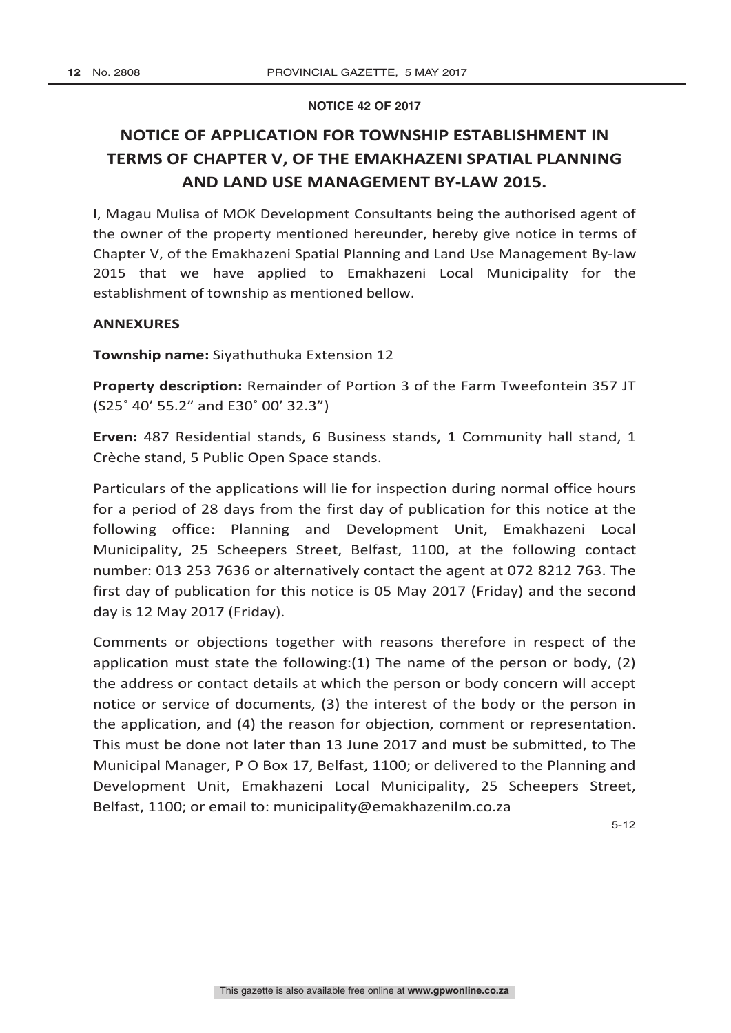#### **NOTICE 42 OF 2017**

# **NOTICE OF APPLICATION FOR TOWNSHIP ESTABLISHMENT IN TERMS OF CHAPTER V, OF THE EMAKHAZENI SPATIAL PLANNING AND LAND USE MANAGEMENT BY-LAW 2015.**

I, Magau Mulisa of MOK Development Consultants being the authorised agent of the owner of the property mentioned hereunder, hereby give notice in terms of Chapter V, of the Emakhazeni Spatial Planning and Land Use Management By-law 2015 that we have applied to Emakhazeni Local Municipality for the establishment of township as mentioned bellow.

### **ANNEXURES**

**Township name:** Siyathuthuka Extension 12

**Property description:** Remainder of Portion 3 of the Farm Tweefontein 357 JT (S25˚ 40' 55.2" and E30˚ 00' 32.3")

**Erven:** 487 Residential stands, 6 Business stands, 1 Community hall stand, 1 Crèche stand, 5 Public Open Space stands.

Particulars of the applications will lie for inspection during normal office hours for a period of 28 days from the first day of publication for this notice at the following office: Planning and Development Unit, Emakhazeni Local Municipality, 25 Scheepers Street, Belfast, 1100, at the following contact number: 013 253 7636 or alternatively contact the agent at 072 8212 763. The first day of publication for this notice is 05 May 2017 (Friday) and the second day is 12 May 2017 (Friday).

Comments or objections together with reasons therefore in respect of the application must state the following:(1) The name of the person or body, (2) the address or contact details at which the person or body concern will accept notice or service of documents, (3) the interest of the body or the person in the application, and (4) the reason for objection, comment or representation. This must be done not later than 13 June 2017 and must be submitted, to The Municipal Manager, P O Box 17, Belfast, 1100; or delivered to the Planning and Development Unit, Emakhazeni Local Municipality, 25 Scheepers Street, Belfast, 1100; or email to: municipality@emakhazenilm.co.za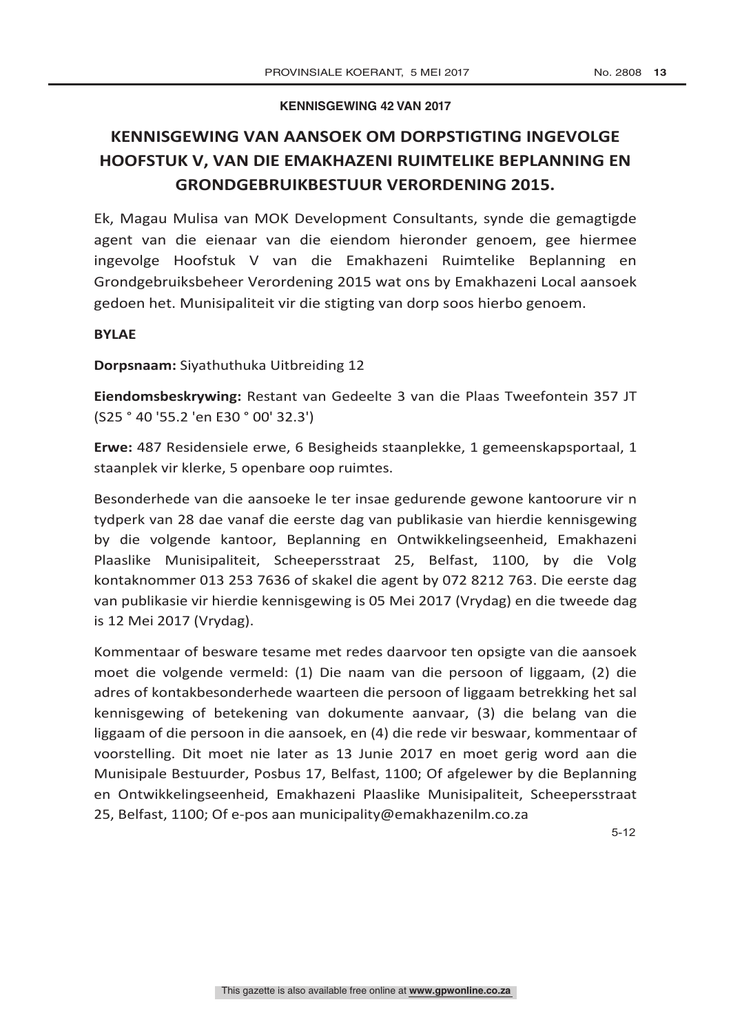### **KENNISGEWING 42 VAN 2017**

# **KENNISGEWING VAN AANSOEK OM DORPSTIGTING INGEVOLGE HOOFSTUK V, VAN DIE EMAKHAZENI RUIMTELIKE BEPLANNING EN GRONDGEBRUIKBESTUUR VERORDENING 2015.**

Ek, Magau Mulisa van MOK Development Consultants, synde die gemagtigde agent van die eienaar van die eiendom hieronder genoem, gee hiermee ingevolge Hoofstuk V van die Emakhazeni Ruimtelike Beplanning en Grondgebruiksbeheer Verordening 2015 wat ons by Emakhazeni Local aansoek gedoen het. Munisipaliteit vir die stigting van dorp soos hierbo genoem.

# **BYLAE**

**Dorpsnaam:** Siyathuthuka Uitbreiding 12

**Eiendomsbeskrywing:** Restant van Gedeelte 3 van die Plaas Tweefontein 357 JT (S25 ° 40 '55.2 'en E30 ° 00' 32.3')

**Erwe:** 487 Residensiele erwe, 6 Besigheids staanplekke, 1 gemeenskapsportaal, 1 staanplek vir klerke, 5 openbare oop ruimtes.

Besonderhede van die aansoeke le ter insae gedurende gewone kantoorure vir n tydperk van 28 dae vanaf die eerste dag van publikasie van hierdie kennisgewing by die volgende kantoor, Beplanning en Ontwikkelingseenheid, Emakhazeni Plaaslike Munisipaliteit, Scheepersstraat 25, Belfast, 1100, by die Volg kontaknommer 013 253 7636 of skakel die agent by 072 8212 763. Die eerste dag van publikasie vir hierdie kennisgewing is 05 Mei 2017 (Vrydag) en die tweede dag is 12 Mei 2017 (Vrydag).

Kommentaar of besware tesame met redes daarvoor ten opsigte van die aansoek moet die volgende vermeld: (1) Die naam van die persoon of liggaam, (2) die adres of kontakbesonderhede waarteen die persoon of liggaam betrekking het sal kennisgewing of betekening van dokumente aanvaar, (3) die belang van die liggaam of die persoon in die aansoek, en (4) die rede vir beswaar, kommentaar of voorstelling. Dit moet nie later as 13 Junie 2017 en moet gerig word aan die Munisipale Bestuurder, Posbus 17, Belfast, 1100; Of afgelewer by die Beplanning en Ontwikkelingseenheid, Emakhazeni Plaaslike Munisipaliteit, Scheepersstraat 25, Belfast, 1100; Of e-pos aan municipality@emakhazenilm.co.za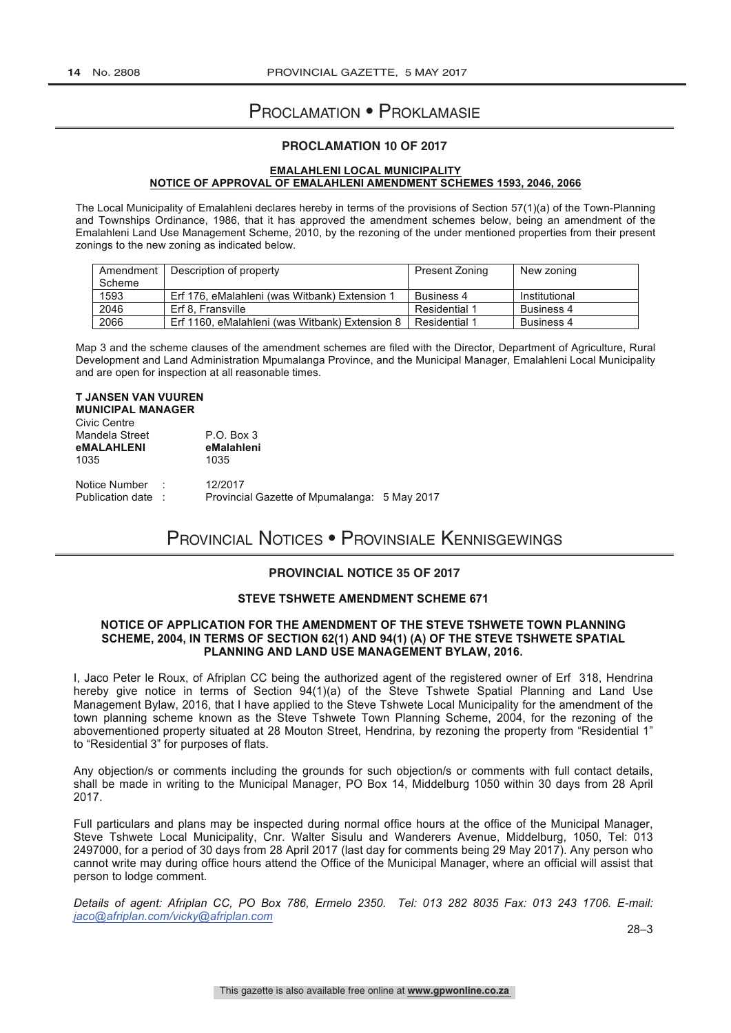# Proclamation • Proklamasie

### **PROCLAMATION 10 OF 2017**

#### **EMALAHLENI LOCAL MUNICIPALITY NOTICE OF APPROVAL OF EMALAHLENI AMENDMENT SCHEMES 1593, 2046, 2066**

The Local Municipality of Emalahleni declares hereby in terms of the provisions of Section 57(1)(a) of the Town-Planning and Townships Ordinance, 1986, that it has approved the amendment schemes below, being an amendment of the Emalahleni Land Use Management Scheme, 2010, by the rezoning of the under mentioned properties from their present zonings to the new zoning as indicated below.

| Amendment | Description of property                        | <b>Present Zoning</b> | New zoning    |
|-----------|------------------------------------------------|-----------------------|---------------|
| Scheme    |                                                |                       |               |
| 1593      | Erf 176, eMalahleni (was Witbank) Extension 1  | Business 4            | Institutional |
| 2046      | Erf 8. Fransville                              | Residential 1         | Business 4    |
| 2066      | Erf 1160, eMalahleni (was Witbank) Extension 8 | Residential 1         | Business 4    |

Map 3 and the scheme clauses of the amendment schemes are filed with the Director, Department of Agriculture, Rural Development and Land Administration Mpumalanga Province, and the Municipal Manager, Emalahleni Local Municipality and are open for inspection at all reasonable times.

# **T JANSEN VAN VUUREN**

**MUNICIPAL MANAGER**

| Civic Centre<br>Mandela Street<br><b>eMALAHLENI</b><br>1035 |        | $P.O.$ Box 3<br>eMalahleni<br>1035                      |  |
|-------------------------------------------------------------|--------|---------------------------------------------------------|--|
| Notice Number<br>Publication date:                          | $\sim$ | 12/2017<br>Provincial Gazette of Mpumalanga: 5 May 2017 |  |

# Provincial Notices • Provinsiale Kennisgewings

# **PROVINCIAL NOTICE 35 OF 2017**

#### **STEVE TSHWETE AMENDMENT SCHEME 671**

#### **NOTICE OF APPLICATION FOR THE AMENDMENT OF THE STEVE TSHWETE TOWN PLANNING SCHEME, 2004, IN TERMS OF SECTION 62(1) AND 94(1) (A) OF THE STEVE TSHWETE SPATIAL PLANNING AND LAND USE MANAGEMENT BYLAW, 2016.**

I, Jaco Peter le Roux, of Afriplan CC being the authorized agent of the registered owner of Erf 318, Hendrina hereby give notice in terms of Section 94(1)(a) of the Steve Tshwete Spatial Planning and Land Use Management Bylaw, 2016, that I have applied to the Steve Tshwete Local Municipality for the amendment of the town planning scheme known as the Steve Tshwete Town Planning Scheme, 2004, for the rezoning of the abovementioned property situated at 28 Mouton Street, Hendrina, by rezoning the property from "Residential 1" to "Residential 3" for purposes of flats.

Any objection/s or comments including the grounds for such objection/s or comments with full contact details, shall be made in writing to the Municipal Manager, PO Box 14, Middelburg 1050 within 30 days from 28 April 2017.

Full particulars and plans may be inspected during normal office hours at the office of the Municipal Manager, Steve Tshwete Local Municipality, Cnr. Walter Sisulu and Wanderers Avenue, Middelburg, 1050, Tel: 013 2497000, for a period of 30 days from 28 April 2017 (last day for comments being 29 May 2017). Any person who cannot write may during office hours attend the Office of the Municipal Manager, where an official will assist that person to lodge comment.

*Details of agent: Afriplan CC, PO Box 786, Ermelo 2350. Tel: 013 282 8035 Fax: 013 243 1706. E-mail: jaco@afriplan.com/vicky@afriplan.com*

28–3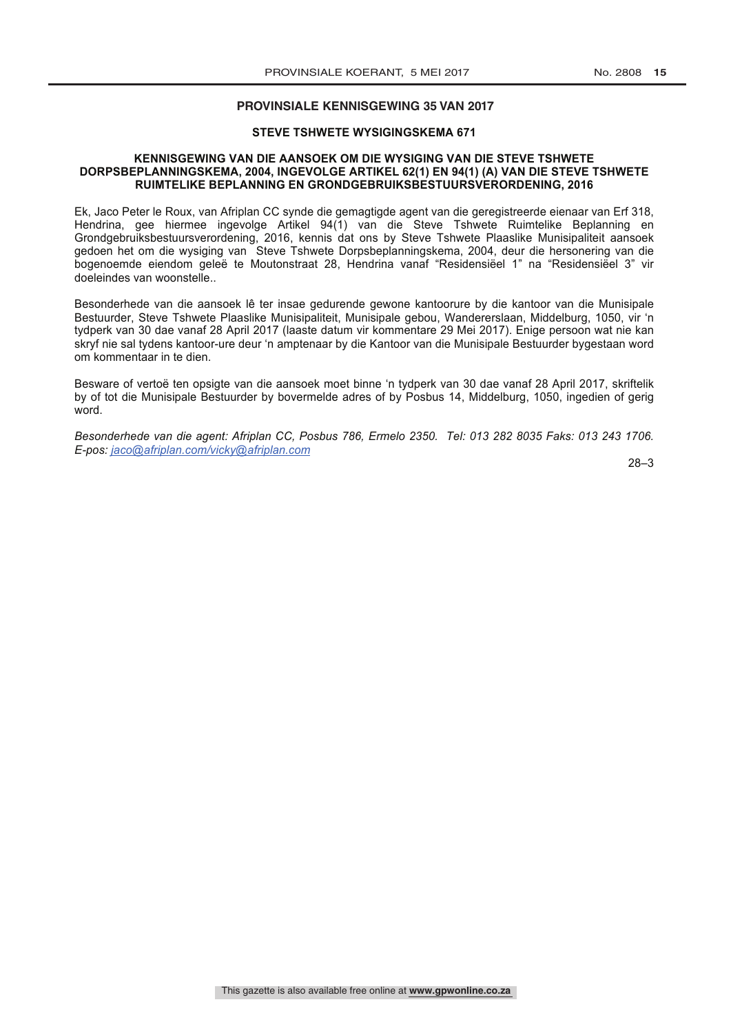#### **PROVINSIALE KENNISGEWING 35 VAN 2017**

#### **STEVE TSHWETE WYSIGINGSKEMA 671**

#### **KENNISGEWING VAN DIE AANSOEK OM DIE WYSIGING VAN DIE STEVE TSHWETE DORPSBEPLANNINGSKEMA, 2004, INGEVOLGE ARTIKEL 62(1) EN 94(1) (A) VAN DIE STEVE TSHWETE RUIMTELIKE BEPLANNING EN GRONDGEBRUIKSBESTUURSVERORDENING, 2016**

Ek, Jaco Peter le Roux, van Afriplan CC synde die gemagtigde agent van die geregistreerde eienaar van Erf 318, Hendrina, gee hiermee ingevolge Artikel 94(1) van die Steve Tshwete Ruimtelike Beplanning en Grondgebruiksbestuursverordening, 2016, kennis dat ons by Steve Tshwete Plaaslike Munisipaliteit aansoek gedoen het om die wysiging van Steve Tshwete Dorpsbeplanningskema, 2004, deur die hersonering van die bogenoemde eiendom geleë te Moutonstraat 28, Hendrina vanaf "Residensiëel 1" na "Residensiëel 3" vir doeleindes van woonstelle..

Besonderhede van die aansoek lê ter insae gedurende gewone kantoorure by die kantoor van die Munisipale Bestuurder, Steve Tshwete Plaaslike Munisipaliteit, Munisipale gebou, Wandererslaan, Middelburg, 1050, vir 'n tydperk van 30 dae vanaf 28 April 2017 (laaste datum vir kommentare 29 Mei 2017). Enige persoon wat nie kan skryf nie sal tydens kantoor-ure deur 'n amptenaar by die Kantoor van die Munisipale Bestuurder bygestaan word om kommentaar in te dien.

Besware of vertoë ten opsigte van die aansoek moet binne 'n tydperk van 30 dae vanaf 28 April 2017, skriftelik by of tot die Munisipale Bestuurder by bovermelde adres of by Posbus 14, Middelburg, 1050, ingedien of gerig word.

*Besonderhede van die agent: Afriplan CC, Posbus 786, Ermelo 2350. Tel: 013 282 8035 Faks: 013 243 1706. E-pos: jaco@afriplan.com/vicky@afriplan.com*

28–3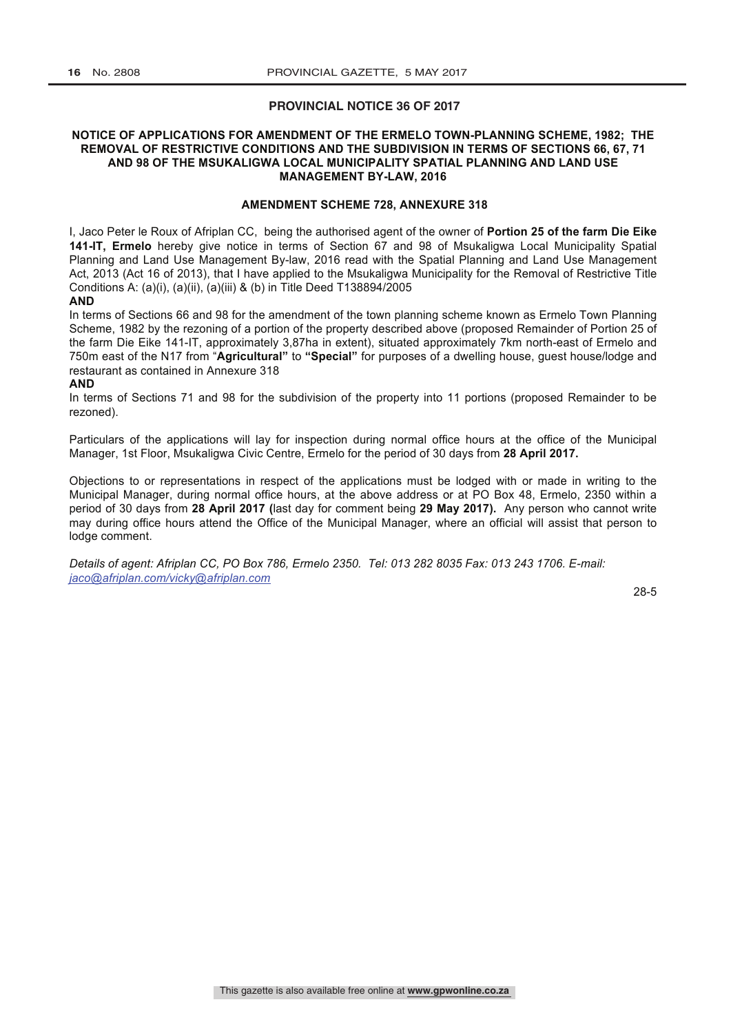#### **PROVINCIAL NOTICE 36 OF 2017**

#### **NOTICE OF APPLICATIONS FOR AMENDMENT OF THE ERMELO TOWN-PLANNING SCHEME, 1982; THE REMOVAL OF RESTRICTIVE CONDITIONS AND THE SUBDIVISION IN TERMS OF SECTIONS 66, 67, 71 AND 98 OF THE MSUKALIGWA LOCAL MUNICIPALITY SPATIAL PLANNING AND LAND USE MANAGEMENT BY-LAW, 2016**

#### **AMENDMENT SCHEME 728, ANNEXURE 318**

I, Jaco Peter le Roux of Afriplan CC, being the authorised agent of the owner of **Portion 25 of the farm Die Eike 141-IT, Ermelo** hereby give notice in terms of Section 67 and 98 of Msukaligwa Local Municipality Spatial Planning and Land Use Management By-law, 2016 read with the Spatial Planning and Land Use Management Act, 2013 (Act 16 of 2013), that I have applied to the Msukaligwa Municipality for the Removal of Restrictive Title Conditions A: (a)(i), (a)(ii), (a)(iii) & (b) in Title Deed T138894/2005

#### **AND**

In terms of Sections 66 and 98 for the amendment of the town planning scheme known as Ermelo Town Planning Scheme, 1982 by the rezoning of a portion of the property described above (proposed Remainder of Portion 25 of the farm Die Eike 141-IT, approximately 3,87ha in extent), situated approximately 7km north-east of Ermelo and 750m east of the N17 from "**Agricultural"** to **"Special"** for purposes of a dwelling house, guest house/lodge and restaurant as contained in Annexure 318

#### **AND**

In terms of Sections 71 and 98 for the subdivision of the property into 11 portions (proposed Remainder to be rezoned).

Particulars of the applications will lay for inspection during normal office hours at the office of the Municipal Manager, 1st Floor, Msukaligwa Civic Centre, Ermelo for the period of 30 days from **28 April 2017.**

Objections to or representations in respect of the applications must be lodged with or made in writing to the Municipal Manager, during normal office hours, at the above address or at PO Box 48, Ermelo, 2350 within a period of 30 days from **28 April 2017 (**last day for comment being **29 May 2017).** Any person who cannot write may during office hours attend the Office of the Municipal Manager, where an official will assist that person to lodge comment.

*Details of agent: Afriplan CC, PO Box 786, Ermelo 2350. Tel: 013 282 8035 Fax: 013 243 1706. E-mail: jaco@afriplan.com/vicky@afriplan.com*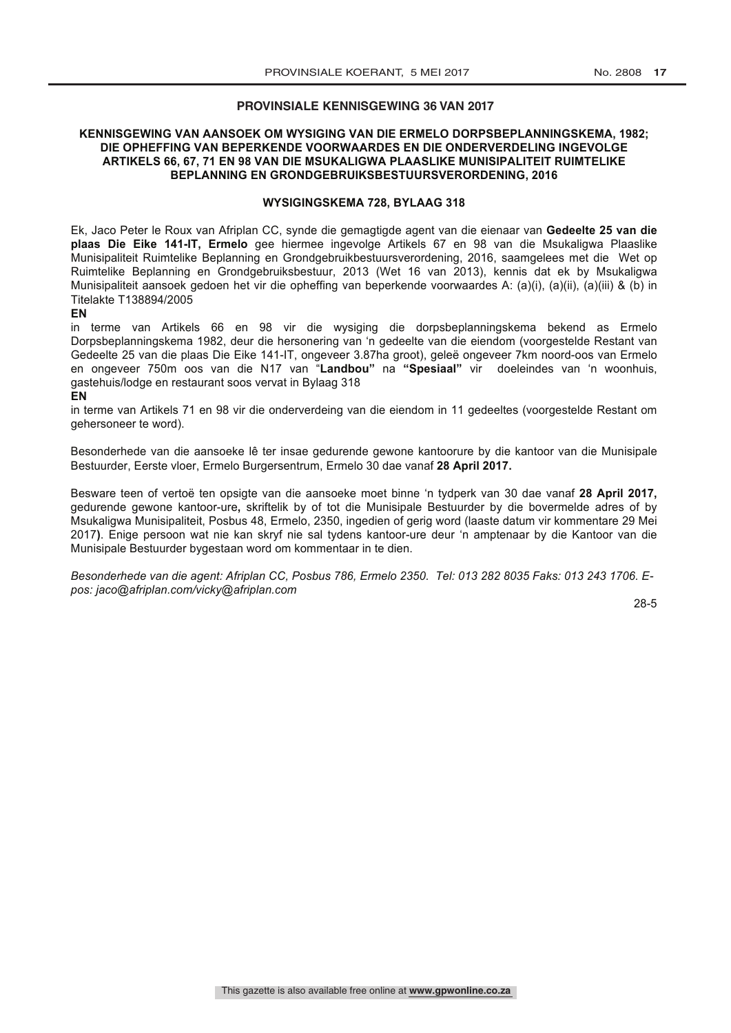#### **PROVINSIALE KENNISGEWING 36 VAN 2017**

#### **KENNISGEWING VAN AANSOEK OM WYSIGING VAN DIE ERMELO DORPSBEPLANNINGSKEMA, 1982; DIE OPHEFFING VAN BEPERKENDE VOORWAARDES EN DIE ONDERVERDELING INGEVOLGE ARTIKELS 66, 67, 71 EN 98 VAN DIE MSUKALIGWA PLAASLIKE MUNISIPALITEIT RUIMTELIKE BEPLANNING EN GRONDGEBRUIKSBESTUURSVERORDENING, 2016**

#### **WYSIGINGSKEMA 728, BYLAAG 318**

Ek, Jaco Peter le Roux van Afriplan CC, synde die gemagtigde agent van die eienaar van **Gedeelte 25 van die plaas Die Eike 141-IT, Ermelo** gee hiermee ingevolge Artikels 67 en 98 van die Msukaligwa Plaaslike Munisipaliteit Ruimtelike Beplanning en Grondgebruikbestuursverordening, 2016, saamgelees met die Wet op Ruimtelike Beplanning en Grondgebruiksbestuur, 2013 (Wet 16 van 2013), kennis dat ek by Msukaligwa Munisipaliteit aansoek gedoen het vir die opheffing van beperkende voorwaardes A: (a)(i), (a)(ii), (a)(iii) & (b) in Titelakte T138894/2005

**EN** 

in terme van Artikels 66 en 98 vir die wysiging die dorpsbeplanningskema bekend as Ermelo Dorpsbeplanningskema 1982, deur die hersonering van 'n gedeelte van die eiendom (voorgestelde Restant van Gedeelte 25 van die plaas Die Eike 141-IT, ongeveer 3.87ha groot), geleë ongeveer 7km noord-oos van Ermelo en ongeveer 750m oos van die N17 van "**Landbou"** na **"Spesiaal"** vir doeleindes van 'n woonhuis, gastehuis/lodge en restaurant soos vervat in Bylaag 318

#### **EN**

in terme van Artikels 71 en 98 vir die onderverdeing van die eiendom in 11 gedeeltes (voorgestelde Restant om gehersoneer te word).

Besonderhede van die aansoeke lê ter insae gedurende gewone kantoorure by die kantoor van die Munisipale Bestuurder, Eerste vloer, Ermelo Burgersentrum, Ermelo 30 dae vanaf **28 April 2017.** 

Besware teen of vertoë ten opsigte van die aansoeke moet binne 'n tydperk van 30 dae vanaf **28 April 2017,**  gedurende gewone kantoor-ure**,** skriftelik by of tot die Munisipale Bestuurder by die bovermelde adres of by Msukaligwa Munisipaliteit, Posbus 48, Ermelo, 2350, ingedien of gerig word (laaste datum vir kommentare 29 Mei 2017**)**. Enige persoon wat nie kan skryf nie sal tydens kantoor-ure deur 'n amptenaar by die Kantoor van die Munisipale Bestuurder bygestaan word om kommentaar in te dien.

*Besonderhede van die agent: Afriplan CC, Posbus 786, Ermelo 2350. Tel: 013 282 8035 Faks: 013 243 1706. Epos: jaco@afriplan.com/vicky@afriplan.com*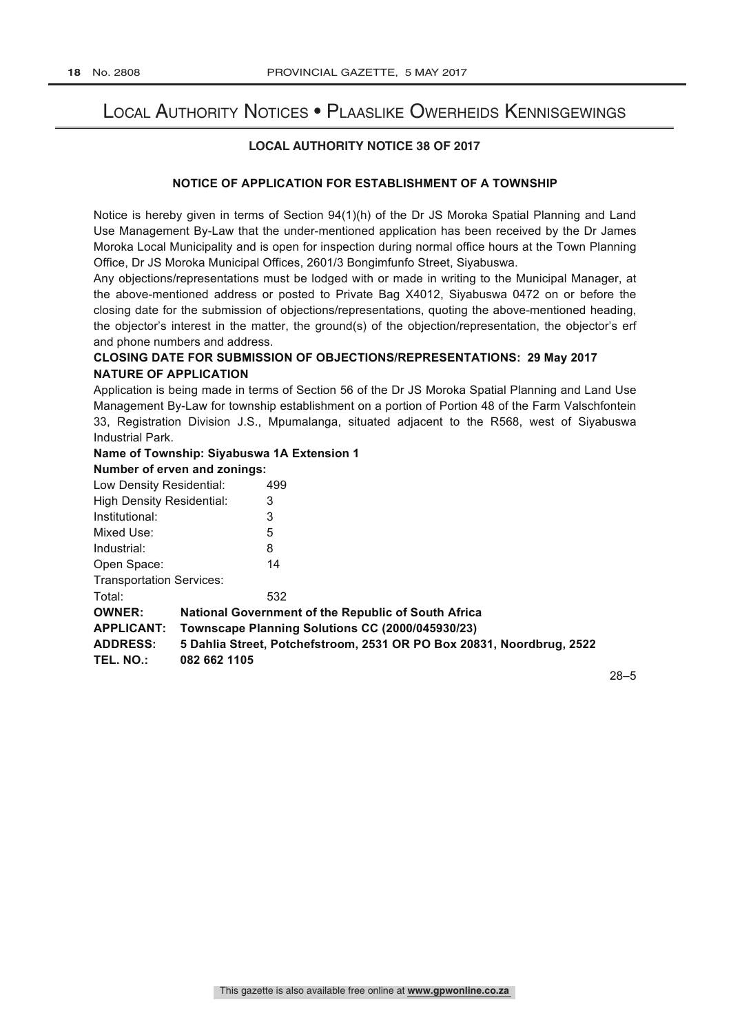# Local Authority Notices • Plaaslike Owerheids Kennisgewings

# **LOCAL AUTHORITY NOTICE 38 OF 2017**

# **NOTICE OF APPLICATION FOR ESTABLISHMENT OF A TOWNSHIP**

Notice is hereby given in terms of Section 94(1)(h) of the Dr JS Moroka Spatial Planning and Land Use Management By-Law that the under-mentioned application has been received by the Dr James Moroka Local Municipality and is open for inspection during normal office hours at the Town Planning Office, Dr JS Moroka Municipal Offices, 2601/3 Bongimfunfo Street, Siyabuswa.

Any objections/representations must be lodged with or made in writing to the Municipal Manager, at the above-mentioned address or posted to Private Bag X4012, Siyabuswa 0472 on or before the closing date for the submission of objections/representations, quoting the above-mentioned heading, the objector's interest in the matter, the ground(s) of the objection/representation, the objector's erf and phone numbers and address.

# **CLOSING DATE FOR SUBMISSION OF OBJECTIONS/REPRESENTATIONS: 29 May 2017 NATURE OF APPLICATION**

Application is being made in terms of Section 56 of the Dr JS Moroka Spatial Planning and Land Use Management By-Law for township establishment on a portion of Portion 48 of the Farm Valschfontein 33, Registration Division J.S., Mpumalanga, situated adjacent to the R568, west of Siyabuswa Industrial Park.

# **Name of Township: Siyabuswa 1A Extension 1**

# **Number of erven and zonings:**

| Low Density Residential:                                                                 |              | 499                                                 |
|------------------------------------------------------------------------------------------|--------------|-----------------------------------------------------|
| <b>High Density Residential:</b>                                                         |              | 3                                                   |
| Institutional:                                                                           |              | 3                                                   |
| Mixed Use:                                                                               |              | 5                                                   |
| Industrial:                                                                              |              | 8                                                   |
| Open Space:                                                                              |              | 14                                                  |
| <b>Transportation Services:</b>                                                          |              |                                                     |
| Total:                                                                                   |              | 532                                                 |
| <b>OWNER:</b>                                                                            |              | National Government of the Republic of South Africa |
| <b>APPLICANT:</b>                                                                        |              | Townscape Planning Solutions CC (2000/045930/23)    |
| 5 Dahlia Street, Potchefstroom, 2531 OR PO Box 20831, Noordbrug, 2522<br><b>ADDRESS:</b> |              |                                                     |
| TEL. NO.:                                                                                | 082 662 1105 |                                                     |
|                                                                                          |              |                                                     |

28–5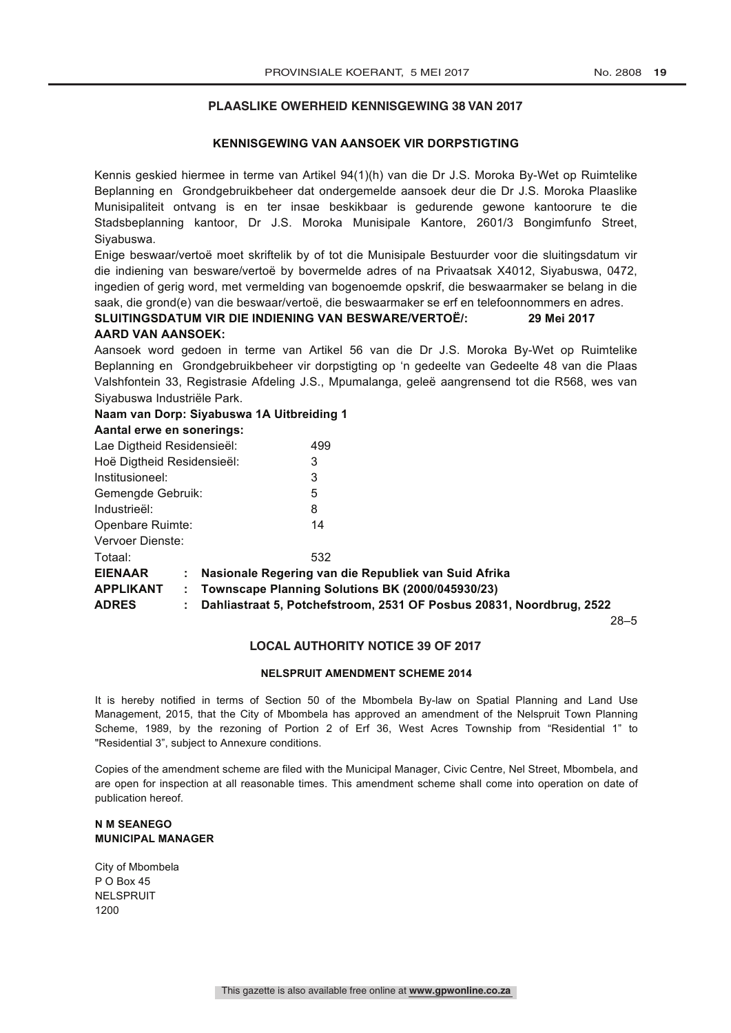#### **PLAASLIKE OWERHEID KENNISGEWING 38 VAN 2017**

### **KENNISGEWING VAN AANSOEK VIR DORPSTIGTING**

Kennis geskied hiermee in terme van Artikel 94(1)(h) van die Dr J.S. Moroka By-Wet op Ruimtelike Beplanning en Grondgebruikbeheer dat ondergemelde aansoek deur die Dr J.S. Moroka Plaaslike Munisipaliteit ontvang is en ter insae beskikbaar is gedurende gewone kantoorure te die Stadsbeplanning kantoor, Dr J.S. Moroka Munisipale Kantore, 2601/3 Bongimfunfo Street, Siyabuswa.

Enige beswaar/vertoë moet skriftelik by of tot die Munisipale Bestuurder voor die sluitingsdatum vir die indiening van besware/vertoë by bovermelde adres of na Privaatsak X4012, Siyabuswa, 0472, ingedien of gerig word, met vermelding van bogenoemde opskrif, die beswaarmaker se belang in die saak, die grond(e) van die beswaar/vertoë, die beswaarmaker se erf en telefoonnommers en adres. **SLUITINGSDATUM VIR DIE INDIENING VAN BESWARE/VERTOË/: 29 Mei 2017**

#### **AARD VAN AANSOEK:**

Aansoek word gedoen in terme van Artikel 56 van die Dr J.S. Moroka By-Wet op Ruimtelike Beplanning en Grondgebruikbeheer vir dorpstigting op 'n gedeelte van Gedeelte 48 van die Plaas Valshfontein 33, Registrasie Afdeling J.S., Mpumalanga, geleë aangrensend tot die R568, wes van Siyabuswa Industriële Park.

#### **Naam van Dorp: Siyabuswa 1A Uitbreiding 1**

#### **Aantal erwe en sonerings:**

| Lae Digtheid Residensieël: | 499                                                                  |
|----------------------------|----------------------------------------------------------------------|
|                            |                                                                      |
| Hoë Digtheid Residensieël: | 3                                                                    |
| Institusioneel:            | 3                                                                    |
| Gemengde Gebruik:          | 5                                                                    |
| Industrieël:               | 8                                                                    |
| Openbare Ruimte:           | 14                                                                   |
| Vervoer Dienste:           |                                                                      |
| Totaal:                    | 532                                                                  |
| <b>EIENAAR</b>             | Nasionale Regering van die Republiek van Suid Afrika                 |
| <b>APPLIKANT</b><br>÷.     | Townscape Planning Solutions BK (2000/045930/23)                     |
| <b>ADRES</b><br>÷.         | Dahliastraat 5, Potchefstroom, 2531 OF Posbus 20831, Noordbrug, 2522 |
|                            |                                                                      |

28–5

### **LOCAL AUTHORITY NOTICE 39 OF 2017**

#### **NELSPRUIT AMENDMENT SCHEME 2014**

It is hereby notified in terms of Section 50 of the Mbombela By-law on Spatial Planning and Land Use Management, 2015, that the City of Mbombela has approved an amendment of the Nelspruit Town Planning Scheme, 1989, by the rezoning of Portion 2 of Erf 36, West Acres Township from "Residential 1" to "Residential 3", subject to Annexure conditions.

Copies of the amendment scheme are filed with the Municipal Manager, Civic Centre, Nel Street, Mbombela, and are open for inspection at all reasonable times. This amendment scheme shall come into operation on date of publication hereof.

#### **N M SEANEGO MUNICIPAL MANAGER**

City of Mbombela P O Box 45 NELSPRUIT 1200